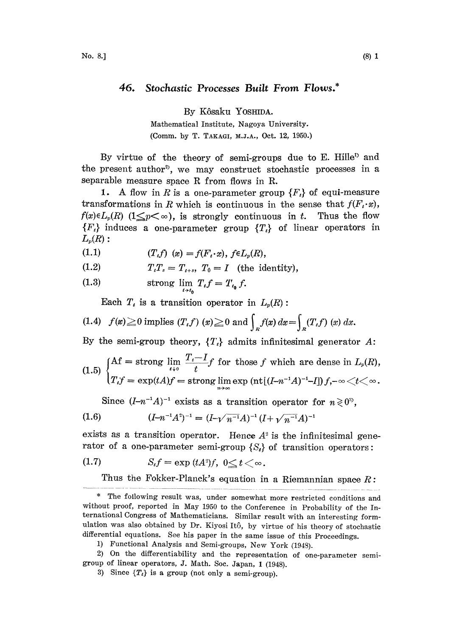## 46. Stochastic Processes Built From Flows.\*

By K6saku YOSHIDA.

Mathematical Institute, Nagoya University. (Comm. by T. TAKAGI, M.J.A., Oct. 12, 1950.)

By virtue of the theory of semi-groups due to E. Hille<sup>13</sup> and the present author<sup>2</sup>, we may construct stochastic processes in a separable measure space R from flows in R.

1. A flow in R is a one-parameter group  ${F<sub>i</sub>}$  of equi-measure transformations in R which is continuous in the sense that  $f(F_i \cdot x)$ ,  $f(x) \in L_p(R)$  (1 $\leq p < \infty$ ), is strongly continuous in t. Thus the flow  ${F<sub>t</sub>}$  induces a one-parameter group  ${T<sub>t</sub>}$  of linear operators in  $L_p(R):$ 

(1.1) 
$$
(T_t f)(x) = f(F_t \cdot x), \ f \in L_p(R),
$$

$$
(1.2) \tT_tT_s = T_{t+s}, \tT_0 = I \t (the identity),
$$

$$
\text{(1.3)} \qquad \qquad \text{strong } \lim_{t \to t_0} T_t f = T_{t_0} f.
$$

Each  $T_t$  is a transition operator in  $L_p(R)$ :

$$
(1.4) \quad f(x) \ge 0 \text{ implies } (T_t f)(x) \ge 0 \text{ and } \int_R f(x) dx = \int_R (T_t f)(x) dx.
$$

By the semi-group theory,  $\{T_i\}$  admits infinitesimal generator A:

(1.5) 
$$
\begin{cases} \text{Af} = \text{strong } \lim_{t \downarrow 0} \frac{T_t - I}{t} f \text{ for those } f \text{ which are dense in } L_p(R), \\ T_t f = \exp(tA) f = \text{strong } \lim_{n \to \infty} \exp\left(\text{nt}[(I - n^{-1}A)^{-1} - I]\right) f, -\infty < t < \infty. \end{cases}
$$

Since  $(I-n^{-1}A)^{-1}$  exists as a transition operator for  $n \ge 0$ <sup>3</sup>,

$$
(1.6) \qquad (I - n^{-1}A^2)^{-1} = (I - \sqrt{n^{-1}}A)^{-1}(I + \sqrt{n^{-1}}A)^{-1}
$$

exists as a transition operator. Hence  $A<sup>2</sup>$  is the infinitesimal generator of a one-parameter semi-group  $\{S_i\}$  of transition operators:

$$
(1.7) \tS_tf=\exp(tA^2)f,\;0\leq t<\infty.
$$

Thus the Fokker-Planck's equation in a Riemannian space  $R$ :

<sup>\*</sup> The following result was, under somewhat more restricted conditions and without proof, reported in May <sup>1950</sup> to the Conference in Probability of the International Congress of Mathematicians. Similar result with an interesting formulation was also obtained by Dr. Kiyosi It6, by virtue of his theory of stochastic differential equations. See his paper in the same issue of this Proceedings.

<sup>1)</sup> Functional Analysis and Semi-groups, New York (1948).

<sup>2)</sup> On the differentiability and the representation of one-parameter semigroup of linear operators, J. Math. Soc. Japan, <sup>1</sup> (1948).

<sup>3)</sup> Since  $\{T_t\}$  is a group (not only a semi-group).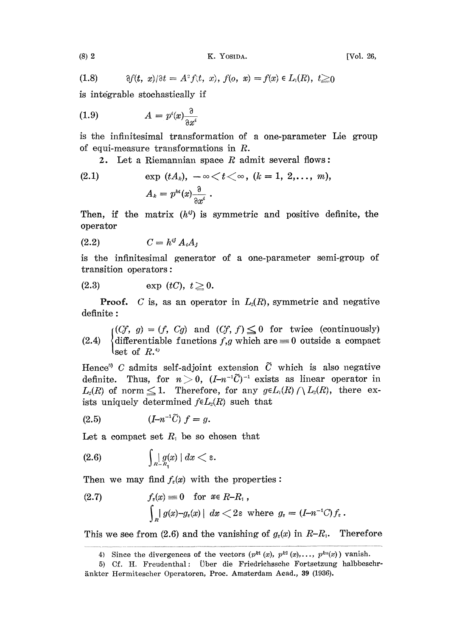(8) 2 K. YOSIDA. [Vol. 26,

(1.8) 
$$
\partial f(t, x)/\partial t = A^2 f(t, x), f(0, x) = f(x) \in L_1(R), t \ge 0
$$

is integrable stochastically if

$$
(1.9) \t\t A = p^i(x)\frac{\partial}{\partial x^i}
$$

is the infinitesimal transformation of a one-parameter Lie group of equi-measure transformations in R.

2. Let a Riemannian space  $R$  admit several flows:

(2.1) 
$$
\exp (tA_k), -\infty < t < \infty, (k = 1, 2, ..., m),
$$

$$
A_k = p^{bi}(x) \frac{\partial}{\partial x^i}.
$$

Then, if the matrix  $(h^{ij})$  is symmetric and positive definite, the operator

$$
(2.2) \tC = h^{ij} A_i A_j
$$

is the infinitesimal generator of a one-parameter semi-group of transition operators:

$$
(2.3) \t\t exp (tC), t \ge 0.
$$

**Proof.** C is, as an operator in  $L_2(R)$ , symmetric and negative definite:

 $(Cf, g) = (f, Cg)$  and  $(Cf, f) \leq 0$  for twice (continuously) (2.4)  $\langle$  differentiable functions  $f,g$  which are  $\equiv 0$  outside a compact set of  $R^{4}$ 

Hence<sup>5</sup> C admits self-adjoint extension  $\tilde{C}$  which is also negative definite. Thus, for  $n > 0$ ,  $(I-n^{-1}\tilde{C})^{-1}$  exists as linear operator in  $L_2(R)$  of norm  $\leq 1$ . Therefore, for any  $g \in L_1(R) \cap L_2(R)$ , there ex- $L_2(R)$  of norm  $\leq 1$ . Therefore, for any  $g \in L_1(R) \cap L_2(R)$ , there exists uniquely determined  $f \in L_2(R)$  such that

(2.5) 
$$
(I - n^{-1}\tilde{C}) f = g.
$$

Let a compact set  $R_i$  be so chosen that

$$
\int_{R-R_1} |g(x)| dx < \varepsilon.
$$

Then we may find  $f_{\varepsilon}(x)$  with the properties:

(2.7) 
$$
f_{\epsilon}(x) \equiv 0 \text{ for } x \in R - R_1,
$$

$$
\int_{R} |g(x) - g_{\epsilon}(x)| dx < 2\epsilon \text{ where } g_{\epsilon} = (I - n^{-1}C) f_{\epsilon}.
$$

This we see from (2.6) and the vanishing of  $g<sub>z</sub>(x)$  in  $R-R<sub>1</sub>$ . Therefore

<sup>4)</sup> Since the divergences of the vectors  $(p^{k_1}(x), p^{k_2}(x), \ldots, p^{k_n}(x))$  vanish.

<sup>5)</sup> Cf. H. Freudenthal: jber die Friedrichssche Fortsetzung halbbeschrnkter Hermitescher Operatoren, Proc. Amsterdam Acad., 39 (1936).